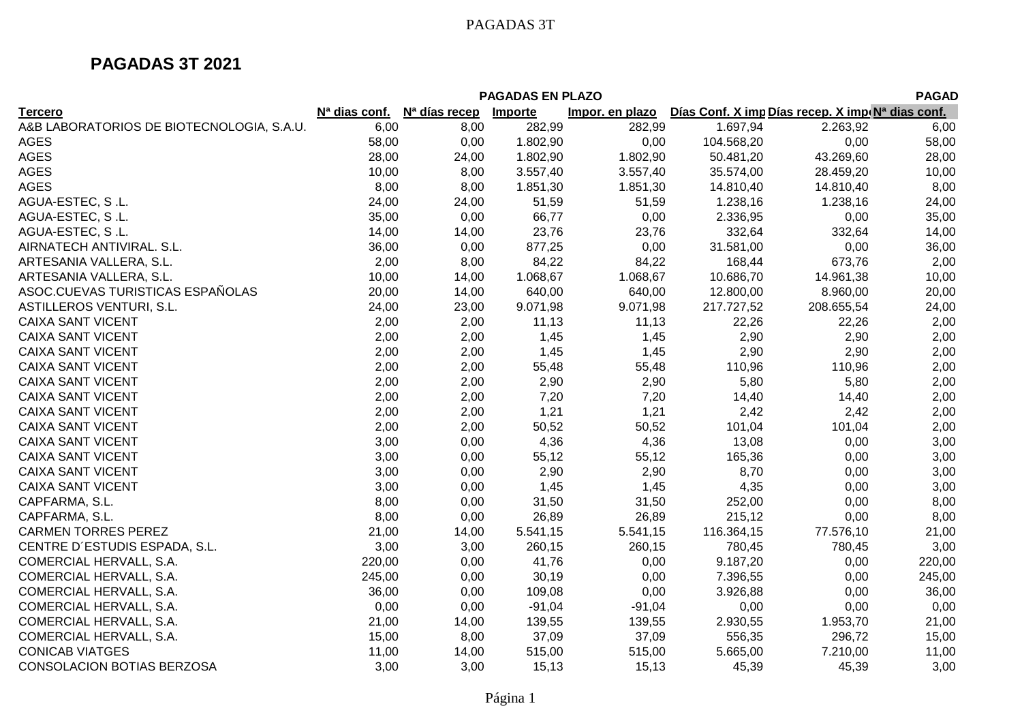|                                           |                           |                           | <b>PAGADAS EN PLAZO</b> |                 |            |                                                              | <b>PAGAD</b> |
|-------------------------------------------|---------------------------|---------------------------|-------------------------|-----------------|------------|--------------------------------------------------------------|--------------|
| <b>Tercero</b>                            | N <sup>a</sup> dias conf. | N <sup>a</sup> días recep | Importe                 | Impor. en plazo |            | Días Conf. X imp Días recep. X imp N <sup>a</sup> dias conf. |              |
| A&B LABORATORIOS DE BIOTECNOLOGIA, S.A.U. | 6,00                      | 8,00                      | 282,99                  | 282,99          | 1.697,94   | 2.263,92                                                     | 6,00         |
| <b>AGES</b>                               | 58,00                     | 0,00                      | 1.802,90                | 0,00            | 104.568,20 | 0,00                                                         | 58,00        |
| <b>AGES</b>                               | 28,00                     | 24,00                     | 1.802,90                | 1.802,90        | 50.481,20  | 43.269,60                                                    | 28,00        |
| <b>AGES</b>                               | 10,00                     | 8,00                      | 3.557,40                | 3.557,40        | 35.574,00  | 28.459,20                                                    | 10,00        |
| <b>AGES</b>                               | 8,00                      | 8,00                      | 1.851,30                | 1.851,30        | 14.810,40  | 14.810,40                                                    | 8,00         |
| AGUA-ESTEC, S.L.                          | 24,00                     | 24,00                     | 51,59                   | 51,59           | 1.238,16   | 1.238,16                                                     | 24,00        |
| AGUA-ESTEC, S.L.                          | 35,00                     | 0,00                      | 66,77                   | 0,00            | 2.336,95   | 0,00                                                         | 35,00        |
| AGUA-ESTEC, S.L.                          | 14,00                     | 14,00                     | 23,76                   | 23,76           | 332,64     | 332,64                                                       | 14,00        |
| AIRNATECH ANTIVIRAL. S.L.                 | 36,00                     | 0,00                      | 877,25                  | 0,00            | 31.581,00  | 0,00                                                         | 36,00        |
| ARTESANIA VALLERA, S.L.                   | 2,00                      | 8,00                      | 84,22                   | 84,22           | 168,44     | 673,76                                                       | 2,00         |
| ARTESANIA VALLERA, S.L.                   | 10,00                     | 14,00                     | 1.068,67                | 1.068,67        | 10.686,70  | 14.961,38                                                    | 10,00        |
| ASOC.CUEVAS TURISTICAS ESPAÑOLAS          | 20,00                     | 14,00                     | 640,00                  | 640,00          | 12.800,00  | 8.960,00                                                     | 20,00        |
| ASTILLEROS VENTURI, S.L.                  | 24,00                     | 23,00                     | 9.071,98                | 9.071,98        | 217.727,52 | 208.655,54                                                   | 24,00        |
| <b>CAIXA SANT VICENT</b>                  | 2,00                      | 2,00                      | 11,13                   | 11,13           | 22,26      | 22,26                                                        | 2,00         |
| <b>CAIXA SANT VICENT</b>                  | 2,00                      | 2,00                      | 1,45                    | 1,45            | 2,90       | 2,90                                                         | 2,00         |
| <b>CAIXA SANT VICENT</b>                  | 2,00                      | 2,00                      | 1,45                    | 1,45            | 2,90       | 2,90                                                         | 2,00         |
| <b>CAIXA SANT VICENT</b>                  | 2,00                      | 2,00                      | 55,48                   | 55,48           | 110,96     | 110,96                                                       | 2,00         |
| <b>CAIXA SANT VICENT</b>                  | 2,00                      | 2,00                      | 2,90                    | 2,90            | 5,80       | 5,80                                                         | 2,00         |
| <b>CAIXA SANT VICENT</b>                  | 2,00                      | 2,00                      | 7,20                    | 7,20            | 14,40      | 14,40                                                        | 2,00         |
| <b>CAIXA SANT VICENT</b>                  | 2,00                      | 2,00                      | 1,21                    | 1,21            | 2,42       | 2,42                                                         | 2,00         |
| <b>CAIXA SANT VICENT</b>                  | 2,00                      | 2,00                      | 50,52                   | 50,52           | 101,04     | 101,04                                                       | 2,00         |
| <b>CAIXA SANT VICENT</b>                  | 3,00                      | 0,00                      | 4,36                    | 4,36            | 13,08      | 0,00                                                         | 3,00         |
| <b>CAIXA SANT VICENT</b>                  | 3,00                      | 0,00                      | 55,12                   | 55,12           | 165,36     | 0,00                                                         | 3,00         |
| <b>CAIXA SANT VICENT</b>                  | 3,00                      | 0,00                      | 2,90                    | 2,90            | 8,70       | 0,00                                                         | 3,00         |
| <b>CAIXA SANT VICENT</b>                  | 3,00                      | 0,00                      | 1,45                    | 1,45            | 4,35       | 0,00                                                         | 3,00         |
| CAPFARMA, S.L.                            | 8,00                      | 0,00                      | 31,50                   | 31,50           | 252,00     | 0,00                                                         | 8,00         |
| CAPFARMA, S.L.                            | 8,00                      | 0,00                      | 26,89                   | 26,89           | 215,12     | 0,00                                                         | 8,00         |
| <b>CARMEN TORRES PEREZ</b>                | 21,00                     | 14,00                     | 5.541,15                | 5.541,15        | 116.364,15 | 77.576,10                                                    | 21,00        |
| CENTRE D'ESTUDIS ESPADA, S.L.             | 3,00                      | 3,00                      | 260,15                  | 260,15          | 780,45     | 780,45                                                       | 3,00         |
| COMERCIAL HERVALL, S.A.                   | 220,00                    | 0,00                      | 41,76                   | 0,00            | 9.187,20   | 0,00                                                         | 220,00       |
| COMERCIAL HERVALL, S.A.                   | 245,00                    | 0,00                      | 30,19                   | 0,00            | 7.396,55   | 0,00                                                         | 245,00       |
| COMERCIAL HERVALL, S.A.                   | 36,00                     | 0,00                      | 109,08                  | 0,00            | 3.926,88   | 0,00                                                         | 36,00        |
| COMERCIAL HERVALL, S.A.                   | 0,00                      | 0,00                      | $-91,04$                | $-91,04$        | 0,00       | 0,00                                                         | 0,00         |
| COMERCIAL HERVALL, S.A.                   | 21,00                     | 14,00                     | 139,55                  | 139,55          | 2.930,55   | 1.953,70                                                     | 21,00        |
| COMERCIAL HERVALL, S.A.                   | 15,00                     | 8,00                      | 37,09                   | 37,09           | 556,35     | 296,72                                                       | 15,00        |
| <b>CONICAB VIATGES</b>                    | 11,00                     | 14,00                     | 515,00                  | 515,00          | 5.665,00   | 7.210,00                                                     | 11,00        |
| CONSOLACION BOTIAS BERZOSA                | 3,00                      | 3,00                      | 15,13                   | 15,13           | 45,39      | 45,39                                                        | 3,00         |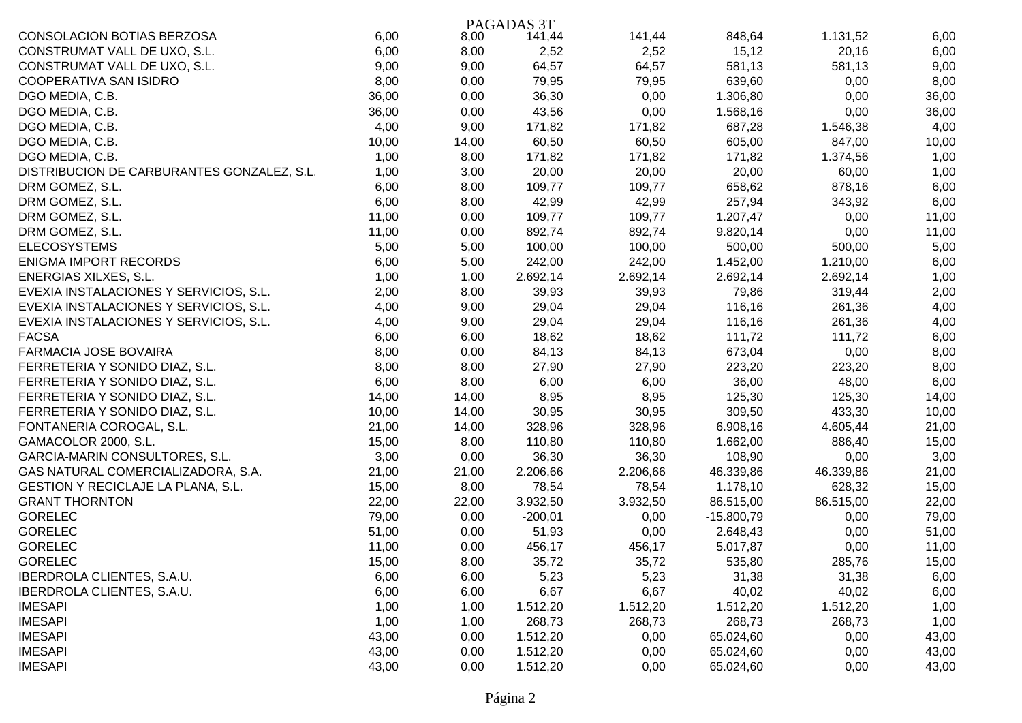|                                            |       |       | PAGADAS 3T |          |              |           |       |
|--------------------------------------------|-------|-------|------------|----------|--------------|-----------|-------|
| CONSOLACION BOTIAS BERZOSA                 | 6,00  | 8,00  | 141,44     | 141,44   | 848,64       | 1.131,52  | 6,00  |
| CONSTRUMAT VALL DE UXO, S.L.               | 6,00  | 8,00  | 2,52       | 2,52     | 15,12        | 20,16     | 6,00  |
| CONSTRUMAT VALL DE UXO, S.L.               | 9,00  | 9,00  | 64,57      | 64,57    | 581,13       | 581,13    | 9,00  |
| COOPERATIVA SAN ISIDRO                     | 8,00  | 0,00  | 79,95      | 79,95    | 639,60       | 0,00      | 8,00  |
| DGO MEDIA, C.B.                            | 36,00 | 0,00  | 36,30      | 0,00     | 1.306,80     | 0,00      | 36,00 |
| DGO MEDIA, C.B.                            | 36,00 | 0,00  | 43,56      | 0,00     | 1.568,16     | 0,00      | 36,00 |
| DGO MEDIA, C.B.                            | 4,00  | 9,00  | 171,82     | 171,82   | 687,28       | 1.546,38  | 4,00  |
| DGO MEDIA, C.B.                            | 10,00 | 14,00 | 60,50      | 60,50    | 605,00       | 847,00    | 10,00 |
| DGO MEDIA, C.B.                            | 1,00  | 8,00  | 171,82     | 171,82   | 171,82       | 1.374,56  | 1,00  |
| DISTRIBUCION DE CARBURANTES GONZALEZ, S.L. | 1,00  | 3,00  | 20,00      | 20,00    | 20,00        | 60,00     | 1,00  |
| DRM GOMEZ, S.L.                            | 6,00  | 8,00  | 109,77     | 109,77   | 658,62       | 878,16    | 6,00  |
| DRM GOMEZ, S.L.                            | 6,00  | 8,00  | 42,99      | 42,99    | 257,94       | 343,92    | 6,00  |
| DRM GOMEZ, S.L.                            | 11,00 | 0,00  | 109,77     | 109,77   | 1.207,47     | 0,00      | 11,00 |
| DRM GOMEZ, S.L.                            | 11,00 | 0,00  | 892,74     | 892,74   | 9.820,14     | 0,00      | 11,00 |
| <b>ELECOSYSTEMS</b>                        | 5,00  | 5,00  | 100,00     | 100,00   | 500,00       | 500,00    | 5,00  |
| ENIGMA IMPORT RECORDS                      | 6,00  | 5,00  | 242,00     | 242,00   | 1.452,00     | 1.210,00  | 6,00  |
| <b>ENERGIAS XILXES, S.L.</b>               | 1,00  | 1,00  | 2.692,14   | 2.692,14 | 2.692,14     | 2.692,14  | 1,00  |
| EVEXIA INSTALACIONES Y SERVICIOS, S.L.     | 2,00  | 8,00  | 39,93      | 39,93    | 79,86        | 319,44    | 2,00  |
| EVEXIA INSTALACIONES Y SERVICIOS, S.L.     | 4,00  | 9,00  | 29,04      | 29,04    | 116,16       | 261,36    | 4,00  |
| EVEXIA INSTALACIONES Y SERVICIOS, S.L.     | 4,00  | 9,00  | 29,04      | 29,04    | 116,16       | 261,36    | 4,00  |
| <b>FACSA</b>                               | 6,00  | 6,00  | 18,62      | 18,62    | 111,72       | 111,72    | 6,00  |
| FARMACIA JOSE BOVAIRA                      | 8,00  | 0,00  | 84,13      | 84,13    | 673,04       | 0,00      | 8,00  |
| FERRETERIA Y SONIDO DIAZ, S.L.             | 8,00  | 8,00  | 27,90      | 27,90    | 223,20       | 223,20    | 8,00  |
| FERRETERIA Y SONIDO DIAZ, S.L.             | 6,00  | 8,00  | 6,00       | 6,00     | 36,00        | 48,00     | 6,00  |
| FERRETERIA Y SONIDO DIAZ, S.L.             | 14,00 | 14,00 | 8,95       | 8,95     | 125,30       | 125,30    | 14,00 |
| FERRETERIA Y SONIDO DIAZ, S.L.             | 10,00 | 14,00 | 30,95      | 30,95    | 309,50       | 433,30    | 10,00 |
| FONTANERIA COROGAL, S.L.                   | 21,00 | 14,00 | 328,96     | 328,96   | 6.908,16     | 4.605,44  | 21,00 |
| GAMACOLOR 2000, S.L.                       | 15,00 | 8,00  | 110,80     | 110,80   | 1.662,00     | 886,40    | 15,00 |
| GARCIA-MARIN CONSULTORES, S.L.             | 3,00  | 0,00  | 36,30      | 36,30    | 108,90       | 0,00      | 3,00  |
| GAS NATURAL COMERCIALIZADORA, S.A.         | 21,00 | 21,00 | 2.206,66   | 2.206,66 | 46.339,86    | 46.339,86 | 21,00 |
| GESTION Y RECICLAJE LA PLANA, S.L.         | 15,00 | 8,00  | 78,54      | 78,54    | 1.178,10     | 628,32    | 15,00 |
| <b>GRANT THORNTON</b>                      | 22,00 | 22,00 | 3.932,50   | 3.932,50 | 86.515,00    | 86.515,00 | 22,00 |
| <b>GORELEC</b>                             | 79,00 | 0,00  | $-200,01$  | 0,00     | $-15.800,79$ | 0,00      | 79,00 |
| <b>GORELEC</b>                             | 51,00 | 0,00  | 51,93      | 0,00     | 2.648,43     | 0,00      | 51,00 |
| <b>GORELEC</b>                             | 11,00 | 0,00  | 456,17     | 456,17   | 5.017,87     | 0,00      | 11,00 |
| <b>GORELEC</b>                             | 15,00 | 8,00  | 35,72      | 35,72    | 535,80       | 285,76    | 15,00 |
| IBERDROLA CLIENTES, S.A.U.                 | 6,00  | 6,00  | 5,23       | 5,23     | 31,38        | 31,38     | 6,00  |
| IBERDROLA CLIENTES, S.A.U.                 | 6,00  | 6,00  | 6,67       | 6,67     | 40,02        | 40,02     | 6,00  |
| <b>IMESAPI</b>                             | 1,00  | 1,00  | 1.512,20   | 1.512,20 | 1.512,20     | 1.512,20  | 1,00  |
| <b>IMESAPI</b>                             | 1,00  | 1,00  | 268,73     | 268,73   | 268,73       | 268,73    | 1,00  |
| <b>IMESAPI</b>                             | 43,00 | 0,00  | 1.512,20   | 0,00     | 65.024,60    | 0,00      | 43,00 |
| <b>IMESAPI</b>                             | 43,00 | 0,00  | 1.512,20   | 0,00     | 65.024,60    | 0,00      | 43,00 |
| <b>IMESAPI</b>                             | 43,00 | 0,00  | 1.512,20   | 0,00     | 65.024,60    | 0,00      | 43,00 |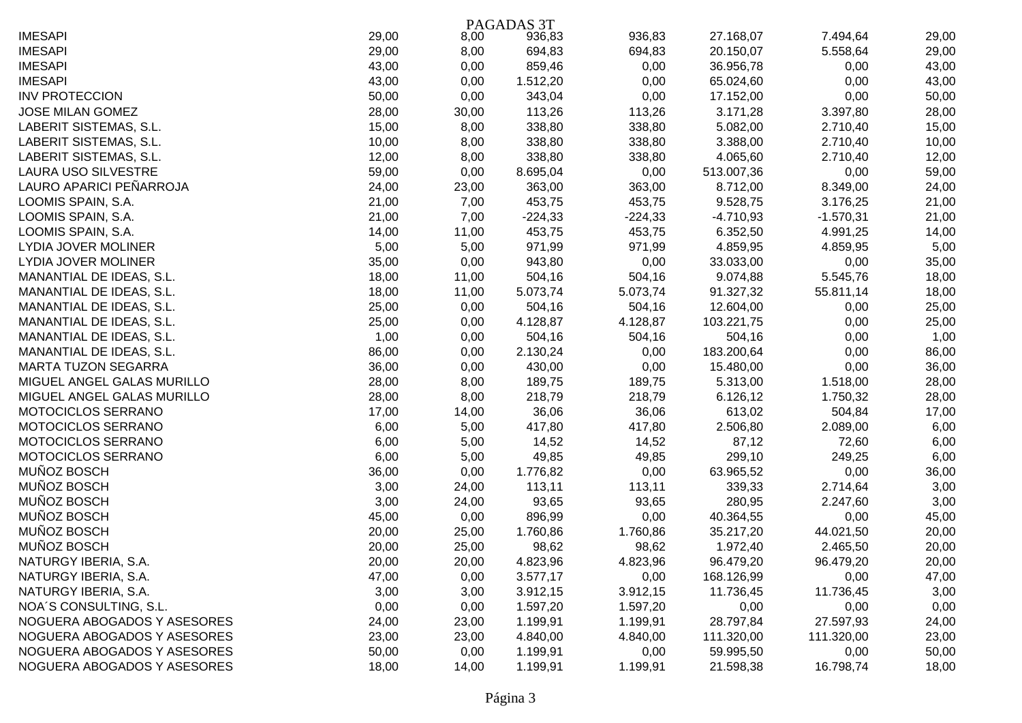|                             |       |       | PAGADAS 3T |           |             |             |       |
|-----------------------------|-------|-------|------------|-----------|-------------|-------------|-------|
| <b>IMESAPI</b>              | 29,00 | 8,00  | 936,83     | 936,83    | 27.168,07   | 7.494,64    | 29,00 |
| <b>IMESAPI</b>              | 29,00 | 8,00  | 694,83     | 694,83    | 20.150,07   | 5.558,64    | 29,00 |
| <b>IMESAPI</b>              | 43,00 | 0,00  | 859,46     | 0,00      | 36.956,78   | 0,00        | 43,00 |
| <b>IMESAPI</b>              | 43,00 | 0,00  | 1.512,20   | 0,00      | 65.024,60   | 0,00        | 43,00 |
| <b>INV PROTECCION</b>       | 50,00 | 0,00  | 343,04     | 0,00      | 17.152,00   | 0,00        | 50,00 |
| <b>JOSE MILAN GOMEZ</b>     | 28,00 | 30,00 | 113,26     | 113,26    | 3.171,28    | 3.397,80    | 28,00 |
| LABERIT SISTEMAS, S.L.      | 15,00 | 8,00  | 338,80     | 338,80    | 5.082,00    | 2.710,40    | 15,00 |
| LABERIT SISTEMAS, S.L.      | 10,00 | 8,00  | 338,80     | 338,80    | 3.388,00    | 2.710,40    | 10,00 |
| LABERIT SISTEMAS, S.L.      | 12,00 | 8,00  | 338,80     | 338,80    | 4.065,60    | 2.710,40    | 12,00 |
| <b>LAURA USO SILVESTRE</b>  | 59,00 | 0,00  | 8.695,04   | 0,00      | 513.007,36  | 0,00        | 59,00 |
| LAURO APARICI PEÑARROJA     | 24,00 | 23,00 | 363,00     | 363,00    | 8.712,00    | 8.349,00    | 24,00 |
| LOOMIS SPAIN, S.A.          | 21,00 | 7,00  | 453,75     | 453,75    | 9.528,75    | 3.176,25    | 21,00 |
| LOOMIS SPAIN, S.A.          | 21,00 | 7,00  | $-224,33$  | $-224,33$ | $-4.710,93$ | $-1.570,31$ | 21,00 |
| LOOMIS SPAIN, S.A.          | 14,00 | 11,00 | 453,75     | 453,75    | 6.352,50    | 4.991,25    | 14,00 |
| LYDIA JOVER MOLINER         | 5,00  | 5,00  | 971,99     | 971,99    | 4.859,95    | 4.859,95    | 5,00  |
| LYDIA JOVER MOLINER         | 35,00 | 0,00  | 943,80     | 0,00      | 33.033,00   | 0,00        | 35,00 |
| MANANTIAL DE IDEAS, S.L.    | 18,00 | 11,00 | 504,16     | 504,16    | 9.074,88    | 5.545,76    | 18,00 |
| MANANTIAL DE IDEAS, S.L.    | 18,00 | 11,00 | 5.073,74   | 5.073,74  | 91.327,32   | 55.811,14   | 18,00 |
| MANANTIAL DE IDEAS, S.L.    | 25,00 | 0,00  | 504,16     | 504,16    | 12.604,00   | 0,00        | 25,00 |
| MANANTIAL DE IDEAS, S.L.    | 25,00 | 0,00  | 4.128,87   | 4.128,87  | 103.221,75  | 0,00        | 25,00 |
| MANANTIAL DE IDEAS, S.L.    | 1,00  | 0,00  | 504,16     | 504,16    | 504,16      | 0,00        | 1,00  |
| MANANTIAL DE IDEAS, S.L.    | 86,00 | 0,00  | 2.130,24   | 0,00      | 183.200,64  | 0,00        | 86,00 |
| <b>MARTA TUZON SEGARRA</b>  | 36,00 | 0,00  | 430,00     | 0,00      | 15.480,00   | 0,00        | 36,00 |
| MIGUEL ANGEL GALAS MURILLO  | 28,00 | 8,00  | 189,75     | 189,75    | 5.313,00    | 1.518,00    | 28,00 |
| MIGUEL ANGEL GALAS MURILLO  | 28,00 | 8,00  | 218,79     | 218,79    | 6.126,12    | 1.750,32    | 28,00 |
| MOTOCICLOS SERRANO          | 17,00 | 14,00 | 36,06      | 36,06     | 613,02      | 504,84      | 17,00 |
| MOTOCICLOS SERRANO          | 6,00  | 5,00  | 417,80     | 417,80    | 2.506,80    | 2.089,00    | 6,00  |
| MOTOCICLOS SERRANO          | 6,00  | 5,00  | 14,52      | 14,52     | 87,12       | 72,60       | 6,00  |
| MOTOCICLOS SERRANO          | 6,00  | 5,00  | 49,85      | 49,85     | 299,10      | 249,25      | 6,00  |
| MUÑOZ BOSCH                 | 36,00 | 0,00  | 1.776,82   | 0,00      | 63.965,52   | 0,00        | 36,00 |
| MUÑOZ BOSCH                 | 3,00  | 24,00 | 113,11     | 113,11    | 339,33      | 2.714,64    | 3,00  |
| MUÑOZ BOSCH                 | 3,00  | 24,00 | 93,65      | 93,65     | 280,95      | 2.247,60    | 3,00  |
| MUÑOZ BOSCH                 | 45,00 | 0,00  | 896,99     | 0,00      | 40.364,55   | 0,00        | 45,00 |
| MUÑOZ BOSCH                 | 20,00 | 25,00 | 1.760,86   | 1.760,86  | 35.217,20   | 44.021,50   | 20,00 |
| MUÑOZ BOSCH                 | 20,00 | 25,00 | 98,62      | 98,62     | 1.972,40    | 2.465,50    | 20,00 |
| NATURGY IBERIA, S.A         | 20,00 | 20,00 | 4.823,96   | 4.823,96  | 96.479,20   | 96.479,20   | 20,00 |
| NATURGY IBERIA, S.A.        | 47,00 | 0,00  | 3.577,17   | 0,00      | 168.126,99  | 0,00        | 47,00 |
| NATURGY IBERIA, S.A.        | 3,00  | 3,00  | 3.912,15   | 3.912,15  | 11.736,45   | 11.736,45   | 3,00  |
| NOA'S CONSULTING, S.L.      | 0,00  | 0,00  | 1.597,20   | 1.597,20  | 0,00        | 0,00        | 0,00  |
| NOGUERA ABOGADOS Y ASESORES | 24,00 | 23,00 | 1.199,91   | 1.199,91  | 28.797,84   | 27.597,93   | 24,00 |
| NOGUERA ABOGADOS Y ASESORES | 23,00 | 23,00 | 4.840,00   | 4.840,00  | 111.320,00  | 111.320,00  | 23,00 |
| NOGUERA ABOGADOS Y ASESORES | 50,00 | 0,00  | 1.199,91   | 0,00      | 59.995,50   | 0,00        | 50,00 |
| NOGUERA ABOGADOS Y ASESORES | 18,00 | 14,00 | 1.199,91   | 1.199,91  | 21.598,38   | 16.798,74   | 18,00 |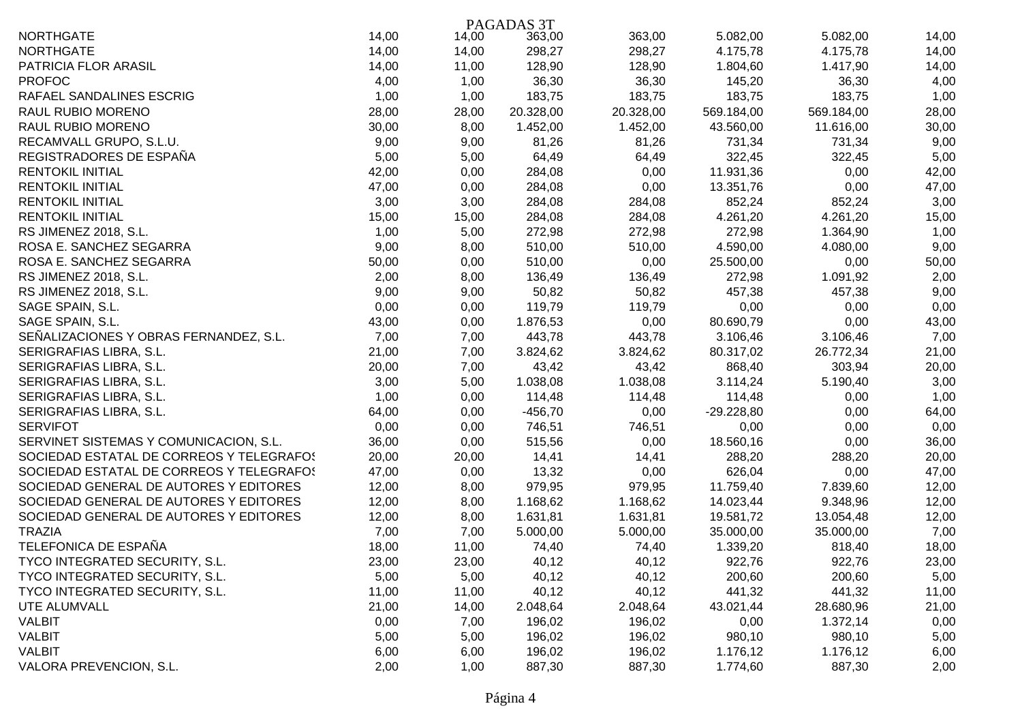|                                          |       |       | PAGADAS 3T |           |              |            |       |
|------------------------------------------|-------|-------|------------|-----------|--------------|------------|-------|
| <b>NORTHGATE</b>                         | 14,00 | 14,00 | 363,00     | 363,00    | 5.082,00     | 5.082,00   | 14,00 |
| <b>NORTHGATE</b>                         | 14,00 | 14,00 | 298,27     | 298,27    | 4.175,78     | 4.175,78   | 14,00 |
| PATRICIA FLOR ARASIL                     | 14,00 | 11,00 | 128,90     | 128,90    | 1.804,60     | 1.417,90   | 14,00 |
| <b>PROFOC</b>                            | 4,00  | 1,00  | 36,30      | 36,30     | 145,20       | 36,30      | 4,00  |
| RAFAEL SANDALINES ESCRIG                 | 1,00  | 1,00  | 183,75     | 183,75    | 183,75       | 183,75     | 1,00  |
| RAUL RUBIO MORENO                        | 28,00 | 28,00 | 20.328,00  | 20.328,00 | 569.184,00   | 569.184,00 | 28,00 |
| RAUL RUBIO MORENO                        | 30,00 | 8,00  | 1.452,00   | 1.452,00  | 43.560,00    | 11.616,00  | 30,00 |
| RECAMVALL GRUPO, S.L.U.                  | 9,00  | 9,00  | 81,26      | 81,26     | 731,34       | 731,34     | 9,00  |
| REGISTRADORES DE ESPAÑA                  | 5,00  | 5,00  | 64,49      | 64,49     | 322,45       | 322,45     | 5,00  |
| <b>RENTOKIL INITIAL</b>                  | 42,00 | 0,00  | 284,08     | 0,00      | 11.931,36    | 0,00       | 42,00 |
| <b>RENTOKIL INITIAL</b>                  | 47,00 | 0,00  | 284,08     | 0,00      | 13.351,76    | 0,00       | 47,00 |
| <b>RENTOKIL INITIAL</b>                  | 3,00  | 3,00  | 284,08     | 284,08    | 852,24       | 852,24     | 3,00  |
| <b>RENTOKIL INITIAL</b>                  | 15,00 | 15,00 | 284,08     | 284,08    | 4.261,20     | 4.261,20   | 15,00 |
| RS JIMENEZ 2018, S.L.                    | 1,00  | 5,00  | 272,98     | 272,98    | 272,98       | 1.364,90   | 1,00  |
| ROSA E. SANCHEZ SEGARRA                  | 9,00  | 8,00  | 510,00     | 510,00    | 4.590,00     | 4.080,00   | 9,00  |
| ROSA E. SANCHEZ SEGARRA                  | 50,00 | 0,00  | 510,00     | 0,00      | 25.500,00    | 0,00       | 50,00 |
| RS JIMENEZ 2018, S.L.                    | 2,00  | 8,00  | 136,49     | 136,49    | 272,98       | 1.091,92   | 2,00  |
| RS JIMENEZ 2018, S.L.                    | 9,00  | 9,00  | 50,82      | 50,82     | 457,38       | 457,38     | 9,00  |
| SAGE SPAIN, S.L.                         | 0,00  | 0,00  | 119,79     | 119,79    | 0,00         | 0,00       | 0,00  |
| SAGE SPAIN, S.L.                         | 43,00 | 0,00  | 1.876,53   | 0,00      | 80.690,79    | 0,00       | 43,00 |
| SEÑALIZACIONES Y OBRAS FERNANDEZ, S.L.   | 7,00  | 7,00  | 443,78     | 443,78    | 3.106,46     | 3.106,46   | 7,00  |
| SERIGRAFIAS LIBRA, S.L.                  | 21,00 | 7,00  | 3.824,62   | 3.824,62  | 80.317,02    | 26.772,34  | 21,00 |
| SERIGRAFIAS LIBRA, S.L.                  | 20,00 | 7,00  | 43,42      | 43,42     | 868,40       | 303,94     | 20,00 |
| SERIGRAFIAS LIBRA, S.L.                  | 3,00  | 5,00  | 1.038,08   | 1.038,08  | 3.114,24     | 5.190,40   | 3,00  |
| SERIGRAFIAS LIBRA, S.L.                  | 1,00  | 0,00  | 114,48     | 114,48    | 114,48       | 0,00       | 1,00  |
| SERIGRAFIAS LIBRA, S.L.                  | 64,00 | 0,00  | $-456,70$  | 0,00      | $-29.228,80$ | 0,00       | 64,00 |
| <b>SERVIFOT</b>                          | 0,00  | 0,00  | 746,51     | 746,51    | 0,00         | 0,00       | 0,00  |
| SERVINET SISTEMAS Y COMUNICACION, S.L.   | 36,00 | 0,00  | 515,56     | 0,00      | 18.560,16    | 0,00       | 36,00 |
| SOCIEDAD ESTATAL DE CORREOS Y TELEGRAFOS | 20,00 | 20,00 | 14,41      | 14,41     | 288,20       | 288,20     | 20,00 |
| SOCIEDAD ESTATAL DE CORREOS Y TELEGRAFOS | 47,00 | 0,00  | 13,32      | 0,00      | 626,04       | 0,00       | 47,00 |
| SOCIEDAD GENERAL DE AUTORES Y EDITORES   | 12,00 | 8,00  | 979,95     | 979,95    | 11.759,40    | 7.839,60   | 12,00 |
| SOCIEDAD GENERAL DE AUTORES Y EDITORES   | 12,00 | 8,00  | 1.168,62   | 1.168,62  | 14.023,44    | 9.348,96   | 12,00 |
| SOCIEDAD GENERAL DE AUTORES Y EDITORES   | 12,00 | 8,00  | 1.631,81   | 1.631,81  | 19.581,72    | 13.054,48  | 12,00 |
| <b>TRAZIA</b>                            | 7,00  | 7,00  | 5.000,00   | 5.000,00  | 35.000,00    | 35.000,00  | 7,00  |
| TELEFONICA DE ESPAÑA                     | 18,00 | 11,00 | 74,40      | 74,40     | 1.339,20     | 818,40     | 18,00 |
| <b>TYCO INTEGRATED SECURITY, S.L</b>     | 23,00 | 23,00 | 40,12      | 40,12     | 922,76       | 922,76     | 23,00 |
| TYCO INTEGRATED SECURITY, S.L.           | 5,00  | 5,00  | 40,12      | 40,12     | 200,60       | 200,60     | 5,00  |
| TYCO INTEGRATED SECURITY, S.L.           | 11,00 | 11,00 | 40,12      | 40,12     | 441,32       | 441,32     | 11,00 |
| UTE ALUMVALL                             | 21,00 | 14,00 | 2.048,64   | 2.048,64  | 43.021,44    | 28.680,96  | 21,00 |
| <b>VALBIT</b>                            | 0,00  | 7,00  | 196,02     | 196,02    | 0,00         | 1.372,14   | 0,00  |
| <b>VALBIT</b>                            | 5,00  | 5,00  | 196,02     | 196,02    | 980,10       | 980,10     | 5,00  |
| <b>VALBIT</b>                            | 6,00  | 6,00  | 196,02     | 196,02    | 1.176,12     | 1.176,12   | 6,00  |
| VALORA PREVENCION, S.L.                  | 2,00  | 1,00  | 887,30     | 887,30    | 1.774,60     | 887,30     | 2,00  |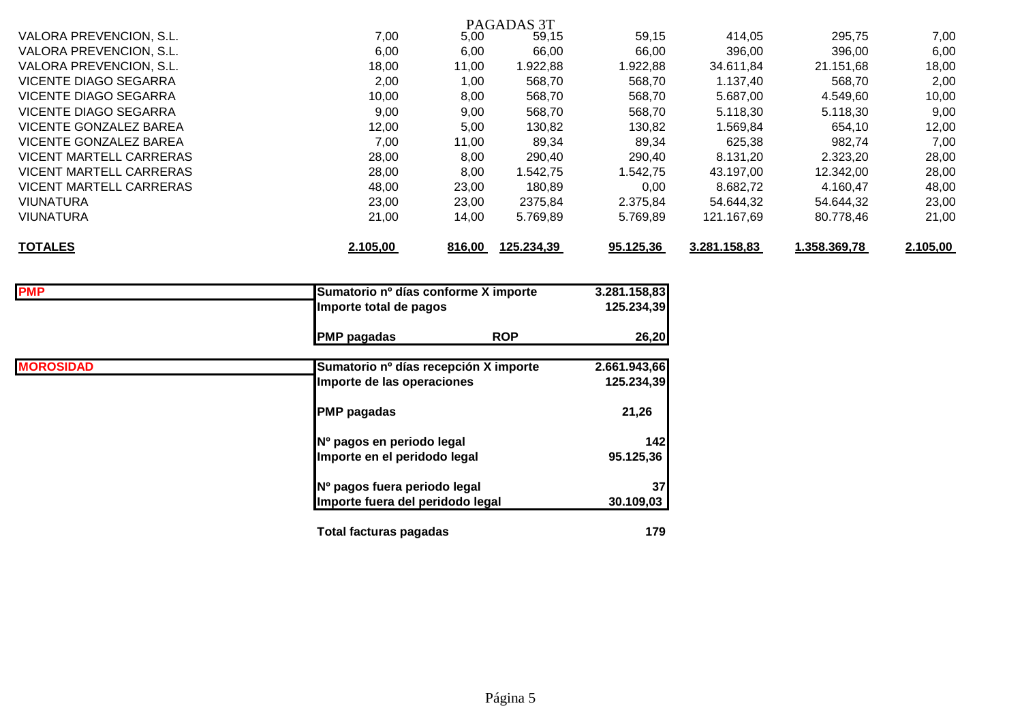|                                |          |        | PAGADAS 3T |           |              |              |          |
|--------------------------------|----------|--------|------------|-----------|--------------|--------------|----------|
| VALORA PREVENCION, S.L.        | 7,00     | 5,00   | 59,15      | 59,15     | 414,05       | 295,75       | 7,00     |
| VALORA PREVENCION, S.L.        | 6,00     | 6,00   | 66,00      | 66,00     | 396,00       | 396,00       | 6,00     |
| <b>VALORA PREVENCION, S.L.</b> | 18,00    | 11,00  | 1.922,88   | 1.922,88  | 34.611,84    | 21.151,68    | 18,00    |
| VICENTE DIAGO SEGARRA          | 2,00     | 1,00   | 568,70     | 568,70    | 1.137,40     | 568,70       | 2,00     |
| VICENTE DIAGO SEGARRA          | 10,00    | 8,00   | 568,70     | 568,70    | 5.687,00     | 4.549,60     | 10,00    |
| VICENTE DIAGO SEGARRA          | 9,00     | 9,00   | 568,70     | 568,70    | 5.118.30     | 5.118,30     | 9,00     |
| VICENTE GONZALEZ BAREA         | 12,00    | 5,00   | 130,82     | 130,82    | 1.569,84     | 654,10       | 12,00    |
| VICENTE GONZALEZ BAREA         | 7,00     | 11,00  | 89,34      | 89,34     | 625,38       | 982.74       | 7,00     |
| VICENT MARTELL CARRERAS        | 28,00    | 8,00   | 290,40     | 290,40    | 8.131.20     | 2.323,20     | 28,00    |
| VICENT MARTELL CARRERAS        | 28,00    | 8,00   | 1.542.75   | 1.542.75  | 43.197,00    | 12.342,00    | 28,00    |
| <b>VICENT MARTELL CARRERAS</b> | 48,00    | 23,00  | 180.89     | 0.00      | 8.682.72     | 4.160.47     | 48,00    |
| <b>VIUNATURA</b>               | 23,00    | 23,00  | 2375.84    | 2.375,84  | 54.644,32    | 54.644,32    | 23,00    |
| <b>VIUNATURA</b>               | 21,00    | 14,00  | 5.769,89   | 5.769.89  | 121.167.69   | 80.778,46    | 21,00    |
| <b>TOTALES</b>                 | 2.105,00 | 816,00 | 125.234,39 | 95.125,36 | 3.281.158,83 | 1.358.369,78 | 2.105,00 |

| <b>PMP</b>       | Sumatorio nº días conforme X importe  | 3.281.158,83 |
|------------------|---------------------------------------|--------------|
|                  | Importe total de pagos                | 125.234,39   |
|                  | <b>PMP</b> pagadas<br><b>ROP</b>      | 26,20        |
| <b>MOROSIDAD</b> | Sumatorio nº días recepción X importe | 2.661.943,66 |
|                  | Importe de las operaciones            | 125.234,39   |
|                  | <b>PMP</b> pagadas                    | 21,26        |
|                  | Nº pagos en periodo legal             | 142          |
|                  | Importe en el peridodo legal          | 95.125,36    |
|                  | Nº pagos fuera periodo legal          | 37           |
|                  | Importe fuera del peridodo legal      | 30.109,03    |
|                  | <b>Total facturas pagadas</b>         | 179          |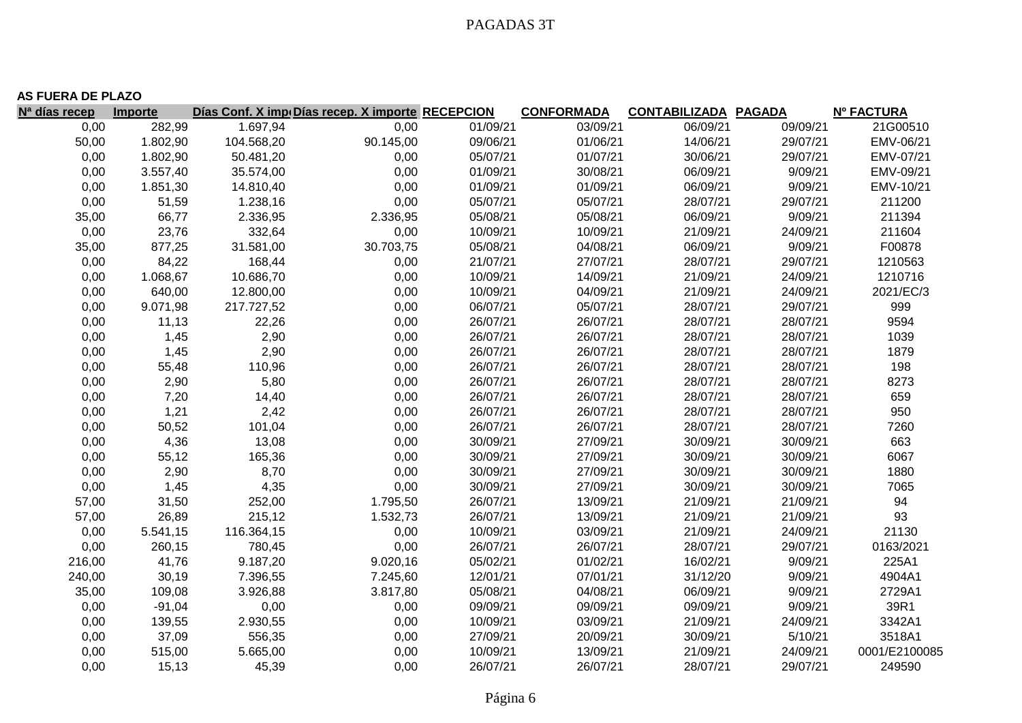#### **AS FUERA DE PLAZO**

| N <sup>a</sup> días recep | Importe  |            | Días Conf. X imp(Días recep. X importe RECEPCION |          | <b>CONFORMADA</b> | <b>CONTABILIZADA PAGADA</b> |          | <b>Nº FACTURA</b> |
|---------------------------|----------|------------|--------------------------------------------------|----------|-------------------|-----------------------------|----------|-------------------|
| 0,00                      | 282,99   | 1.697,94   | 0,00                                             | 01/09/21 | 03/09/21          | 06/09/21                    | 09/09/21 | 21G00510          |
| 50,00                     | 1.802,90 | 104.568,20 | 90.145,00                                        | 09/06/21 | 01/06/21          | 14/06/21                    | 29/07/21 | EMV-06/21         |
| 0,00                      | 1.802,90 | 50.481,20  | 0,00                                             | 05/07/21 | 01/07/21          | 30/06/21                    | 29/07/21 | EMV-07/21         |
| 0,00                      | 3.557,40 | 35.574,00  | 0,00                                             | 01/09/21 | 30/08/21          | 06/09/21                    | 9/09/21  | EMV-09/21         |
| 0,00                      | 1.851,30 | 14.810,40  | 0,00                                             | 01/09/21 | 01/09/21          | 06/09/21                    | 9/09/21  | EMV-10/21         |
| 0,00                      | 51,59    | 1.238,16   | 0,00                                             | 05/07/21 | 05/07/21          | 28/07/21                    | 29/07/21 | 211200            |
| 35,00                     | 66,77    | 2.336,95   | 2.336,95                                         | 05/08/21 | 05/08/21          | 06/09/21                    | 9/09/21  | 211394            |
| 0,00                      | 23,76    | 332,64     | 0,00                                             | 10/09/21 | 10/09/21          | 21/09/21                    | 24/09/21 | 211604            |
| 35,00                     | 877,25   | 31.581,00  | 30.703,75                                        | 05/08/21 | 04/08/21          | 06/09/21                    | 9/09/21  | F00878            |
| 0,00                      | 84,22    | 168,44     | 0,00                                             | 21/07/21 | 27/07/21          | 28/07/21                    | 29/07/21 | 1210563           |
| 0,00                      | 1.068,67 | 10.686,70  | 0,00                                             | 10/09/21 | 14/09/21          | 21/09/21                    | 24/09/21 | 1210716           |
| 0,00                      | 640,00   | 12.800,00  | 0,00                                             | 10/09/21 | 04/09/21          | 21/09/21                    | 24/09/21 | 2021/EC/3         |
| 0,00                      | 9.071,98 | 217.727,52 | 0,00                                             | 06/07/21 | 05/07/21          | 28/07/21                    | 29/07/21 | 999               |
| 0,00                      | 11,13    | 22,26      | 0,00                                             | 26/07/21 | 26/07/21          | 28/07/21                    | 28/07/21 | 9594              |
| 0,00                      | 1,45     | 2,90       | 0,00                                             | 26/07/21 | 26/07/21          | 28/07/21                    | 28/07/21 | 1039              |
| 0,00                      | 1,45     | 2,90       | 0,00                                             | 26/07/21 | 26/07/21          | 28/07/21                    | 28/07/21 | 1879              |
| 0,00                      | 55,48    | 110,96     | 0,00                                             | 26/07/21 | 26/07/21          | 28/07/21                    | 28/07/21 | 198               |
| 0,00                      | 2,90     | 5,80       | 0,00                                             | 26/07/21 | 26/07/21          | 28/07/21                    | 28/07/21 | 8273              |
| 0,00                      | 7,20     | 14,40      | 0,00                                             | 26/07/21 | 26/07/21          | 28/07/21                    | 28/07/21 | 659               |
| 0,00                      | 1,21     | 2,42       | 0,00                                             | 26/07/21 | 26/07/21          | 28/07/21                    | 28/07/21 | 950               |
| 0,00                      | 50,52    | 101,04     | 0,00                                             | 26/07/21 | 26/07/21          | 28/07/21                    | 28/07/21 | 7260              |
| 0,00                      | 4,36     | 13,08      | 0,00                                             | 30/09/21 | 27/09/21          | 30/09/21                    | 30/09/21 | 663               |
| 0,00                      | 55,12    | 165,36     | 0,00                                             | 30/09/21 | 27/09/21          | 30/09/21                    | 30/09/21 | 6067              |
| 0,00                      | 2,90     | 8,70       | 0,00                                             | 30/09/21 | 27/09/21          | 30/09/21                    | 30/09/21 | 1880              |
| 0,00                      | 1,45     | 4,35       | 0,00                                             | 30/09/21 | 27/09/21          | 30/09/21                    | 30/09/21 | 7065              |
| 57,00                     | 31,50    | 252,00     | 1.795,50                                         | 26/07/21 | 13/09/21          | 21/09/21                    | 21/09/21 | 94                |
| 57,00                     | 26,89    | 215,12     | 1.532,73                                         | 26/07/21 | 13/09/21          | 21/09/21                    | 21/09/21 | 93                |
| 0,00                      | 5.541,15 | 116.364,15 | 0,00                                             | 10/09/21 | 03/09/21          | 21/09/21                    | 24/09/21 | 21130             |
| 0,00                      | 260,15   | 780,45     | 0,00                                             | 26/07/21 | 26/07/21          | 28/07/21                    | 29/07/21 | 0163/2021         |
| 216,00                    | 41,76    | 9.187,20   | 9.020,16                                         | 05/02/21 | 01/02/21          | 16/02/21                    | 9/09/21  | 225A1             |
| 240,00                    | 30,19    | 7.396,55   | 7.245,60                                         | 12/01/21 | 07/01/21          | 31/12/20                    | 9/09/21  | 4904A1            |
| 35,00                     | 109,08   | 3.926,88   | 3.817,80                                         | 05/08/21 | 04/08/21          | 06/09/21                    | 9/09/21  | 2729A1            |
| 0,00                      | $-91,04$ | 0,00       | 0,00                                             | 09/09/21 | 09/09/21          | 09/09/21                    | 9/09/21  | 39R1              |
| 0,00                      | 139,55   | 2.930,55   | 0,00                                             | 10/09/21 | 03/09/21          | 21/09/21                    | 24/09/21 | 3342A1            |
| 0,00                      | 37,09    | 556,35     | 0,00                                             | 27/09/21 | 20/09/21          | 30/09/21                    | 5/10/21  | 3518A1            |
| 0,00                      | 515,00   | 5.665,00   | 0,00                                             | 10/09/21 | 13/09/21          | 21/09/21                    | 24/09/21 | 0001/E2100085     |
| 0,00                      | 15,13    | 45,39      | 0,00                                             | 26/07/21 | 26/07/21          | 28/07/21                    | 29/07/21 | 249590            |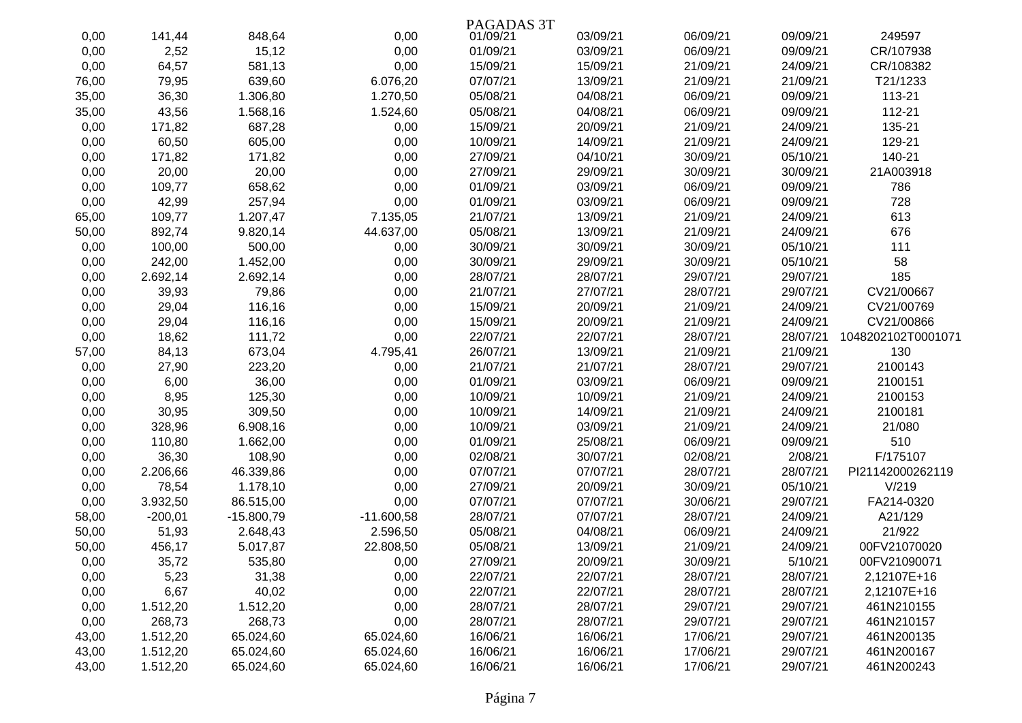|       |           |              |              | PAGADAS 3T |          |          |          |                    |
|-------|-----------|--------------|--------------|------------|----------|----------|----------|--------------------|
| 0,00  | 141,44    | 848,64       | 0,00         | 01/09/21   | 03/09/21 | 06/09/21 | 09/09/21 | 249597             |
| 0,00  | 2,52      | 15,12        | 0,00         | 01/09/21   | 03/09/21 | 06/09/21 | 09/09/21 | CR/107938          |
| 0,00  | 64,57     | 581,13       | 0,00         | 15/09/21   | 15/09/21 | 21/09/21 | 24/09/21 | CR/108382          |
| 76,00 | 79,95     | 639,60       | 6.076,20     | 07/07/21   | 13/09/21 | 21/09/21 | 21/09/21 | T21/1233           |
| 35,00 | 36,30     | 1.306,80     | 1.270,50     | 05/08/21   | 04/08/21 | 06/09/21 | 09/09/21 | 113-21             |
| 35,00 | 43,56     | 1.568,16     | 1.524,60     | 05/08/21   | 04/08/21 | 06/09/21 | 09/09/21 | 112-21             |
| 0,00  | 171,82    | 687,28       | 0,00         | 15/09/21   | 20/09/21 | 21/09/21 | 24/09/21 | 135-21             |
| 0,00  | 60,50     | 605,00       | 0,00         | 10/09/21   | 14/09/21 | 21/09/21 | 24/09/21 | 129-21             |
| 0,00  | 171,82    | 171,82       | 0,00         | 27/09/21   | 04/10/21 | 30/09/21 | 05/10/21 | 140-21             |
| 0,00  | 20,00     | 20,00        | 0,00         | 27/09/21   | 29/09/21 | 30/09/21 | 30/09/21 | 21A003918          |
| 0,00  | 109,77    | 658,62       | 0,00         | 01/09/21   | 03/09/21 | 06/09/21 | 09/09/21 | 786                |
| 0,00  | 42,99     | 257,94       | 0,00         | 01/09/21   | 03/09/21 | 06/09/21 | 09/09/21 | 728                |
| 65,00 | 109,77    | 1.207,47     | 7.135,05     | 21/07/21   | 13/09/21 | 21/09/21 | 24/09/21 | 613                |
| 50,00 | 892,74    | 9.820,14     | 44.637,00    | 05/08/21   | 13/09/21 | 21/09/21 | 24/09/21 | 676                |
| 0,00  | 100,00    | 500,00       | 0,00         | 30/09/21   | 30/09/21 | 30/09/21 | 05/10/21 | 111                |
| 0,00  | 242,00    | 1.452,00     | 0,00         | 30/09/21   | 29/09/21 | 30/09/21 | 05/10/21 | 58                 |
| 0,00  | 2.692,14  | 2.692,14     | 0,00         | 28/07/21   | 28/07/21 | 29/07/21 | 29/07/21 | 185                |
| 0,00  | 39,93     | 79,86        | 0,00         | 21/07/21   | 27/07/21 | 28/07/21 | 29/07/21 | CV21/00667         |
| 0,00  | 29,04     | 116,16       | 0,00         | 15/09/21   | 20/09/21 | 21/09/21 | 24/09/21 | CV21/00769         |
| 0,00  | 29,04     | 116,16       | 0,00         | 15/09/21   | 20/09/21 | 21/09/21 | 24/09/21 | CV21/00866         |
| 0,00  | 18,62     | 111,72       | 0,00         | 22/07/21   | 22/07/21 | 28/07/21 | 28/07/21 | 1048202102T0001071 |
| 57,00 | 84,13     | 673,04       | 4.795,41     | 26/07/21   | 13/09/21 | 21/09/21 | 21/09/21 | 130                |
| 0,00  | 27,90     | 223,20       | 0,00         | 21/07/21   | 21/07/21 | 28/07/21 | 29/07/21 | 2100143            |
| 0,00  | 6,00      | 36,00        | 0,00         | 01/09/21   | 03/09/21 | 06/09/21 | 09/09/21 | 2100151            |
| 0,00  | 8,95      | 125,30       | 0,00         | 10/09/21   | 10/09/21 | 21/09/21 | 24/09/21 | 2100153            |
| 0,00  | 30,95     | 309,50       | 0,00         | 10/09/21   | 14/09/21 | 21/09/21 | 24/09/21 | 2100181            |
| 0,00  | 328,96    | 6.908,16     | 0,00         | 10/09/21   | 03/09/21 | 21/09/21 | 24/09/21 | 21/080             |
| 0,00  | 110,80    | 1.662,00     | 0,00         | 01/09/21   | 25/08/21 | 06/09/21 | 09/09/21 | 510                |
| 0,00  | 36,30     | 108,90       | 0,00         | 02/08/21   | 30/07/21 | 02/08/21 | 2/08/21  | F/175107           |
| 0,00  | 2.206,66  | 46.339,86    | 0,00         | 07/07/21   | 07/07/21 | 28/07/21 | 28/07/21 | PI21142000262119   |
| 0,00  | 78,54     | 1.178,10     | 0,00         | 27/09/21   | 20/09/21 | 30/09/21 | 05/10/21 | V/219              |
| 0,00  | 3.932,50  | 86.515,00    | 0,00         | 07/07/21   | 07/07/21 | 30/06/21 | 29/07/21 | FA214-0320         |
| 58,00 | $-200,01$ | $-15.800,79$ | $-11.600,58$ | 28/07/21   | 07/07/21 | 28/07/21 | 24/09/21 | A21/129            |
| 50,00 | 51,93     | 2.648,43     | 2.596,50     | 05/08/21   | 04/08/21 | 06/09/21 | 24/09/21 | 21/922             |
| 50,00 | 456,17    | 5.017,87     | 22.808,50    | 05/08/21   | 13/09/21 | 21/09/21 | 24/09/21 | 00FV21070020       |
| 0,00  | 35,72     | 535,80       | 0,00         | 27/09/21   | 20/09/21 | 30/09/21 | 5/10/21  | 00FV21090071       |
| 0,00  | 5,23      | 31,38        | 0,00         | 22/07/21   | 22/07/21 | 28/07/21 | 28/07/21 | 2,12107E+16        |
| 0,00  | 6,67      | 40,02        | 0,00         | 22/07/21   | 22/07/21 | 28/07/21 | 28/07/21 | 2,12107E+16        |
| 0,00  | 1.512,20  | 1.512,20     | 0,00         | 28/07/21   | 28/07/21 | 29/07/21 | 29/07/21 | 461N210155         |
| 0,00  | 268,73    | 268,73       | 0,00         | 28/07/21   | 28/07/21 | 29/07/21 | 29/07/21 | 461N210157         |
| 43,00 | 1.512,20  | 65.024,60    | 65.024,60    | 16/06/21   | 16/06/21 | 17/06/21 | 29/07/21 | 461N200135         |
| 43,00 | 1.512,20  | 65.024,60    | 65.024,60    | 16/06/21   | 16/06/21 | 17/06/21 | 29/07/21 | 461N200167         |
| 43,00 | 1.512,20  | 65.024,60    | 65.024,60    | 16/06/21   | 16/06/21 | 17/06/21 | 29/07/21 | 461N200243         |
|       |           |              |              |            |          |          |          |                    |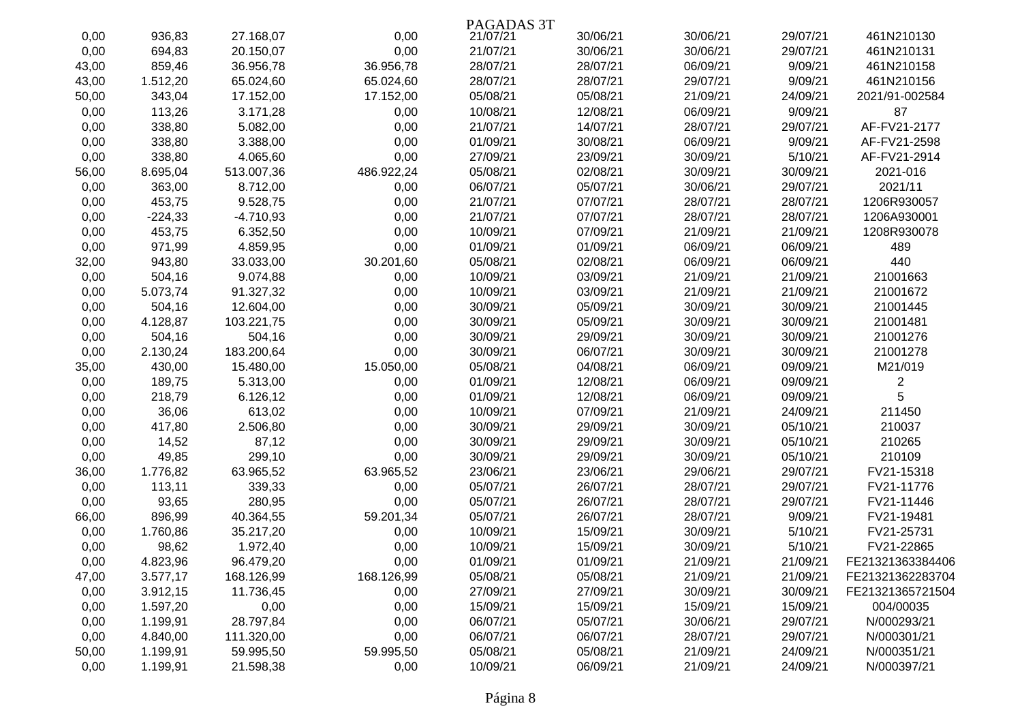|       |           |             |            | PAGADAS 3T |          |          |          |                  |
|-------|-----------|-------------|------------|------------|----------|----------|----------|------------------|
| 0,00  | 936,83    | 27.168,07   | 0,00       | 21/07/21   | 30/06/21 | 30/06/21 | 29/07/21 | 461N210130       |
| 0,00  | 694,83    | 20.150,07   | 0,00       | 21/07/21   | 30/06/21 | 30/06/21 | 29/07/21 | 461N210131       |
| 43,00 | 859,46    | 36.956,78   | 36.956,78  | 28/07/21   | 28/07/21 | 06/09/21 | 9/09/21  | 461N210158       |
| 43,00 | 1.512,20  | 65.024,60   | 65.024,60  | 28/07/21   | 28/07/21 | 29/07/21 | 9/09/21  | 461N210156       |
| 50,00 | 343,04    | 17.152,00   | 17.152,00  | 05/08/21   | 05/08/21 | 21/09/21 | 24/09/21 | 2021/91-002584   |
| 0,00  | 113,26    | 3.171,28    | 0,00       | 10/08/21   | 12/08/21 | 06/09/21 | 9/09/21  | 87               |
| 0,00  | 338,80    | 5.082,00    | 0,00       | 21/07/21   | 14/07/21 | 28/07/21 | 29/07/21 | AF-FV21-2177     |
| 0,00  | 338,80    | 3.388,00    | 0,00       | 01/09/21   | 30/08/21 | 06/09/21 | 9/09/21  | AF-FV21-2598     |
| 0,00  | 338,80    | 4.065,60    | 0,00       | 27/09/21   | 23/09/21 | 30/09/21 | 5/10/21  | AF-FV21-2914     |
| 56,00 | 8.695,04  | 513.007,36  | 486.922,24 | 05/08/21   | 02/08/21 | 30/09/21 | 30/09/21 | 2021-016         |
| 0,00  | 363,00    | 8.712,00    | 0,00       | 06/07/21   | 05/07/21 | 30/06/21 | 29/07/21 | 2021/11          |
| 0,00  | 453,75    | 9.528,75    | 0,00       | 21/07/21   | 07/07/21 | 28/07/21 | 28/07/21 | 1206R930057      |
| 0,00  | $-224,33$ | $-4.710,93$ | 0,00       | 21/07/21   | 07/07/21 | 28/07/21 | 28/07/21 | 1206A930001      |
| 0,00  | 453,75    | 6.352,50    | 0,00       | 10/09/21   | 07/09/21 | 21/09/21 | 21/09/21 | 1208R930078      |
| 0,00  | 971,99    | 4.859,95    | 0,00       | 01/09/21   | 01/09/21 | 06/09/21 | 06/09/21 | 489              |
| 32,00 | 943,80    | 33.033,00   | 30.201,60  | 05/08/21   | 02/08/21 | 06/09/21 | 06/09/21 | 440              |
| 0,00  | 504,16    | 9.074,88    | 0,00       | 10/09/21   | 03/09/21 | 21/09/21 | 21/09/21 | 21001663         |
| 0,00  | 5.073,74  | 91.327,32   | 0,00       | 10/09/21   | 03/09/21 | 21/09/21 | 21/09/21 | 21001672         |
| 0,00  | 504,16    | 12.604,00   | 0,00       | 30/09/21   | 05/09/21 | 30/09/21 | 30/09/21 | 21001445         |
| 0,00  | 4.128,87  | 103.221,75  | 0,00       | 30/09/21   | 05/09/21 | 30/09/21 | 30/09/21 | 21001481         |
| 0,00  | 504,16    | 504,16      | 0,00       | 30/09/21   | 29/09/21 | 30/09/21 | 30/09/21 | 21001276         |
| 0,00  | 2.130,24  | 183.200,64  | 0,00       | 30/09/21   | 06/07/21 | 30/09/21 | 30/09/21 | 21001278         |
| 35,00 | 430,00    | 15.480,00   | 15.050,00  | 05/08/21   | 04/08/21 | 06/09/21 | 09/09/21 | M21/019          |
| 0,00  | 189,75    | 5.313,00    | 0,00       | 01/09/21   | 12/08/21 | 06/09/21 | 09/09/21 | $\overline{c}$   |
| 0,00  | 218,79    | 6.126,12    | 0,00       | 01/09/21   | 12/08/21 | 06/09/21 | 09/09/21 | 5                |
| 0,00  | 36,06     | 613,02      | 0,00       | 10/09/21   | 07/09/21 | 21/09/21 | 24/09/21 | 211450           |
| 0,00  | 417,80    | 2.506,80    | 0,00       | 30/09/21   | 29/09/21 | 30/09/21 | 05/10/21 | 210037           |
| 0,00  | 14,52     | 87,12       | 0,00       | 30/09/21   | 29/09/21 | 30/09/21 | 05/10/21 | 210265           |
| 0,00  | 49,85     | 299,10      | 0,00       | 30/09/21   | 29/09/21 | 30/09/21 | 05/10/21 | 210109           |
| 36,00 | 1.776,82  | 63.965,52   | 63.965,52  | 23/06/21   | 23/06/21 | 29/06/21 | 29/07/21 | FV21-15318       |
| 0,00  | 113,11    | 339,33      | 0,00       | 05/07/21   | 26/07/21 | 28/07/21 | 29/07/21 | FV21-11776       |
| 0,00  | 93,65     | 280,95      | 0,00       | 05/07/21   | 26/07/21 | 28/07/21 | 29/07/21 | FV21-11446       |
| 66,00 | 896,99    | 40.364,55   | 59.201,34  | 05/07/21   | 26/07/21 | 28/07/21 | 9/09/21  | FV21-19481       |
| 0,00  | 1.760,86  | 35.217,20   | 0,00       | 10/09/21   | 15/09/21 | 30/09/21 | 5/10/21  | FV21-25731       |
| 0,00  | 98,62     | 1.972,40    | 0,00       | 10/09/21   | 15/09/21 | 30/09/21 | 5/10/21  | FV21-22865       |
| 0,00  | 4.823,96  | 96.479,20   | 0,00       | 01/09/21   | 01/09/21 | 21/09/21 | 21/09/21 | FE21321363384406 |
| 47,00 | 3.577,17  | 168.126,99  | 168.126,99 | 05/08/21   | 05/08/21 | 21/09/21 | 21/09/21 | FE21321362283704 |
| 0,00  | 3.912,15  | 11.736,45   | 0,00       | 27/09/21   | 27/09/21 | 30/09/21 | 30/09/21 | FE21321365721504 |
| 0,00  | 1.597,20  | 0,00        | 0,00       | 15/09/21   | 15/09/21 | 15/09/21 | 15/09/21 | 004/00035        |
| 0,00  | 1.199,91  | 28.797,84   | 0,00       | 06/07/21   | 05/07/21 | 30/06/21 | 29/07/21 | N/000293/21      |
| 0,00  | 4.840,00  | 111.320,00  | 0,00       | 06/07/21   | 06/07/21 | 28/07/21 | 29/07/21 | N/000301/21      |
| 50,00 | 1.199,91  | 59.995,50   | 59.995,50  | 05/08/21   | 05/08/21 | 21/09/21 | 24/09/21 | N/000351/21      |
| 0,00  | 1.199,91  | 21.598,38   | 0,00       | 10/09/21   | 06/09/21 | 21/09/21 | 24/09/21 | N/000397/21      |
|       |           |             |            |            |          |          |          |                  |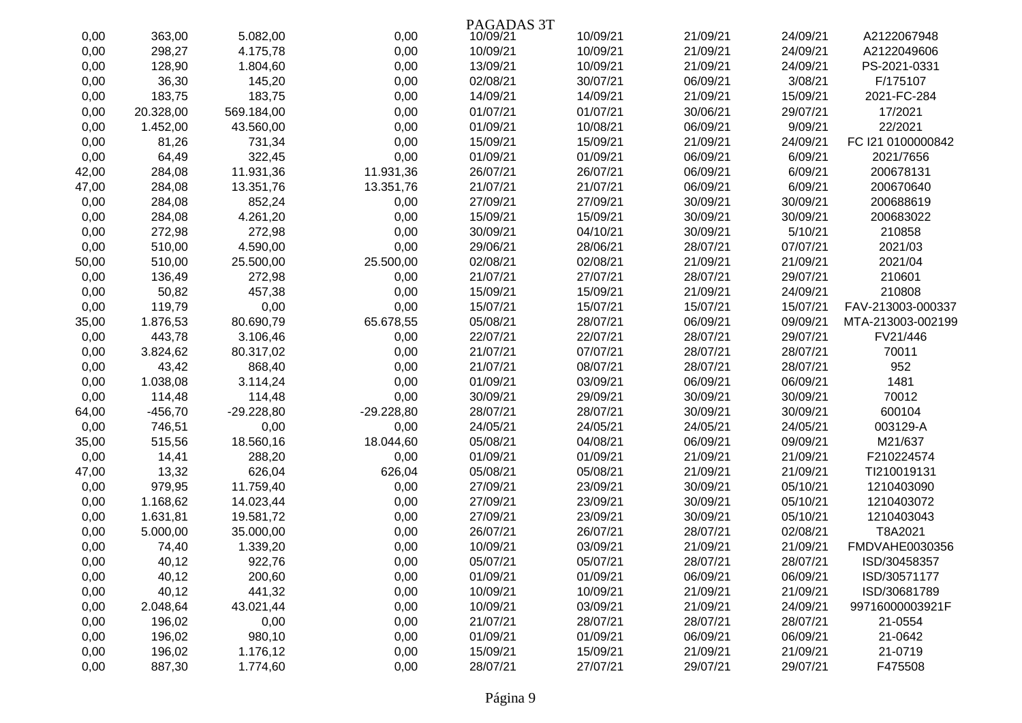|       |           |              |              | PAGADAS 3T |          |          |          |                   |
|-------|-----------|--------------|--------------|------------|----------|----------|----------|-------------------|
| 0,00  | 363,00    | 5.082,00     | 0,00         | 10/09/21   | 10/09/21 | 21/09/21 | 24/09/21 | A2122067948       |
| 0,00  | 298,27    | 4.175,78     | 0,00         | 10/09/21   | 10/09/21 | 21/09/21 | 24/09/21 | A2122049606       |
| 0,00  | 128,90    | 1.804,60     | 0,00         | 13/09/21   | 10/09/21 | 21/09/21 | 24/09/21 | PS-2021-0331      |
| 0,00  | 36,30     | 145,20       | 0,00         | 02/08/21   | 30/07/21 | 06/09/21 | 3/08/21  | F/175107          |
| 0,00  | 183,75    | 183,75       | 0,00         | 14/09/21   | 14/09/21 | 21/09/21 | 15/09/21 | 2021-FC-284       |
| 0,00  | 20.328,00 | 569.184,00   | 0,00         | 01/07/21   | 01/07/21 | 30/06/21 | 29/07/21 | 17/2021           |
| 0,00  | 1.452,00  | 43.560,00    | 0,00         | 01/09/21   | 10/08/21 | 06/09/21 | 9/09/21  | 22/2021           |
| 0,00  | 81,26     | 731,34       | 0,00         | 15/09/21   | 15/09/21 | 21/09/21 | 24/09/21 | FC I21 0100000842 |
| 0,00  | 64,49     | 322,45       | 0,00         | 01/09/21   | 01/09/21 | 06/09/21 | 6/09/21  | 2021/7656         |
| 42,00 | 284,08    | 11.931,36    | 11.931,36    | 26/07/21   | 26/07/21 | 06/09/21 | 6/09/21  | 200678131         |
| 47,00 | 284,08    | 13.351,76    | 13.351,76    | 21/07/21   | 21/07/21 | 06/09/21 | 6/09/21  | 200670640         |
| 0,00  | 284,08    | 852,24       | 0,00         | 27/09/21   | 27/09/21 | 30/09/21 | 30/09/21 | 200688619         |
| 0,00  | 284,08    | 4.261,20     | 0,00         | 15/09/21   | 15/09/21 | 30/09/21 | 30/09/21 | 200683022         |
| 0,00  | 272,98    | 272,98       | 0,00         | 30/09/21   | 04/10/21 | 30/09/21 | 5/10/21  | 210858            |
| 0,00  | 510,00    | 4.590,00     | 0,00         | 29/06/21   | 28/06/21 | 28/07/21 | 07/07/21 | 2021/03           |
| 50,00 | 510,00    | 25.500,00    | 25.500,00    | 02/08/21   | 02/08/21 | 21/09/21 | 21/09/21 | 2021/04           |
| 0,00  | 136,49    | 272,98       | 0,00         | 21/07/21   | 27/07/21 | 28/07/21 | 29/07/21 | 210601            |
| 0,00  | 50,82     | 457,38       | 0,00         | 15/09/21   | 15/09/21 | 21/09/21 | 24/09/21 | 210808            |
| 0,00  | 119,79    | 0,00         | 0,00         | 15/07/21   | 15/07/21 | 15/07/21 | 15/07/21 | FAV-213003-000337 |
| 35,00 | 1.876,53  | 80.690,79    | 65.678,55    | 05/08/21   | 28/07/21 | 06/09/21 | 09/09/21 | MTA-213003-002199 |
| 0,00  | 443,78    | 3.106,46     | 0,00         | 22/07/21   | 22/07/21 | 28/07/21 | 29/07/21 | FV21/446          |
| 0,00  | 3.824,62  | 80.317,02    | 0,00         | 21/07/21   | 07/07/21 | 28/07/21 | 28/07/21 | 70011             |
| 0,00  | 43,42     | 868,40       | 0,00         | 21/07/21   | 08/07/21 | 28/07/21 | 28/07/21 | 952               |
| 0,00  | 1.038,08  | 3.114,24     | 0,00         | 01/09/21   | 03/09/21 | 06/09/21 | 06/09/21 | 1481              |
| 0,00  | 114,48    | 114,48       | 0,00         | 30/09/21   | 29/09/21 | 30/09/21 | 30/09/21 | 70012             |
| 64,00 | $-456,70$ | $-29.228,80$ | $-29.228,80$ | 28/07/21   | 28/07/21 | 30/09/21 | 30/09/21 | 600104            |
| 0,00  | 746,51    | 0,00         | 0,00         | 24/05/21   | 24/05/21 | 24/05/21 | 24/05/21 | 003129-A          |
| 35,00 | 515,56    | 18.560,16    | 18.044,60    | 05/08/21   | 04/08/21 | 06/09/21 | 09/09/21 | M21/637           |
| 0,00  | 14,41     | 288,20       | 0,00         | 01/09/21   | 01/09/21 | 21/09/21 | 21/09/21 | F210224574        |
| 47,00 | 13,32     | 626,04       | 626,04       | 05/08/21   | 05/08/21 | 21/09/21 | 21/09/21 | TI210019131       |
| 0,00  | 979,95    | 11.759,40    | 0,00         | 27/09/21   | 23/09/21 | 30/09/21 | 05/10/21 | 1210403090        |
| 0,00  | 1.168,62  | 14.023,44    | 0,00         | 27/09/21   | 23/09/21 | 30/09/21 | 05/10/21 | 1210403072        |
| 0,00  | 1.631,81  | 19.581,72    | 0,00         | 27/09/21   | 23/09/21 | 30/09/21 | 05/10/21 | 1210403043        |
| 0,00  | 5.000,00  | 35.000,00    | 0,00         | 26/07/21   | 26/07/21 | 28/07/21 | 02/08/21 | T8A2021           |
| 0,00  | 74,40     | 1.339,20     | 0,00         | 10/09/21   | 03/09/21 | 21/09/21 | 21/09/21 | FMDVAHE0030356    |
| 0,00  | 40,12     | 922,76       | 0,00         | 05/07/21   | 05/07/21 | 28/07/21 | 28/07/21 | ISD/30458357      |
| 0,00  | 40,12     | 200,60       | 0,00         | 01/09/21   | 01/09/21 | 06/09/21 | 06/09/21 | ISD/30571177      |
| 0,00  | 40,12     | 441,32       | 0,00         | 10/09/21   | 10/09/21 | 21/09/21 | 21/09/21 | ISD/30681789      |
| 0,00  | 2.048,64  | 43.021,44    | 0,00         | 10/09/21   | 03/09/21 | 21/09/21 | 24/09/21 | 99716000003921F   |
| 0,00  | 196,02    | 0,00         | 0,00         | 21/07/21   | 28/07/21 | 28/07/21 | 28/07/21 | 21-0554           |
| 0,00  | 196,02    | 980,10       | 0,00         | 01/09/21   | 01/09/21 | 06/09/21 | 06/09/21 | 21-0642           |
| 0,00  | 196,02    | 1.176,12     | 0,00         | 15/09/21   | 15/09/21 | 21/09/21 | 21/09/21 | 21-0719           |
| 0,00  | 887,30    | 1.774,60     | 0,00         | 28/07/21   | 27/07/21 | 29/07/21 | 29/07/21 | F475508           |
|       |           |              |              |            |          |          |          |                   |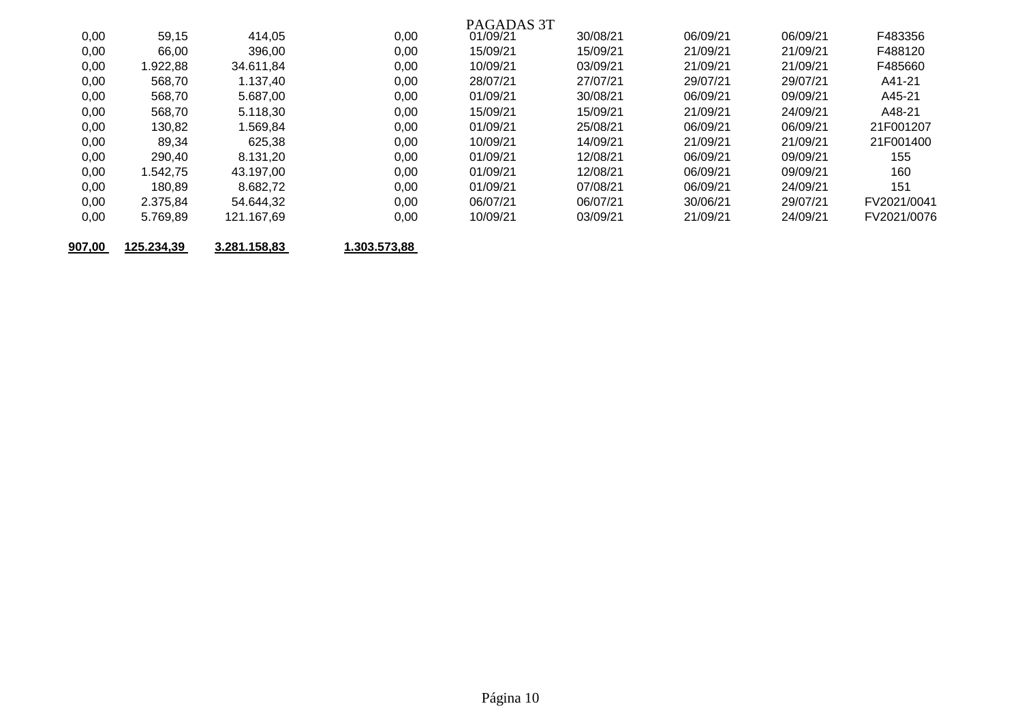| 907,00 | 125.234,39 | 3.281.158,83 | 1.303.573,88 |            |          |          |          |             |
|--------|------------|--------------|--------------|------------|----------|----------|----------|-------------|
| 0,00   | 5.769,89   | 121.167,69   | 0,00         | 10/09/21   | 03/09/21 | 21/09/21 | 24/09/21 | FV2021/0076 |
| 0,00   | 2.375.84   | 54.644,32    | 0,00         | 06/07/21   | 06/07/21 | 30/06/21 | 29/07/21 | FV2021/0041 |
| 0,00   | 180,89     | 8.682,72     | 0,00         | 01/09/21   | 07/08/21 | 06/09/21 | 24/09/21 | 151         |
| 0,00   | 1.542.75   | 43.197.00    | 0,00         | 01/09/21   | 12/08/21 | 06/09/21 | 09/09/21 | 160         |
| 0,00   | 290,40     | 8.131,20     | 0,00         | 01/09/21   | 12/08/21 | 06/09/21 | 09/09/21 | 155         |
| 0,00   | 89,34      | 625,38       | 0,00         | 10/09/21   | 14/09/21 | 21/09/21 | 21/09/21 | 21F001400   |
| 0,00   | 130,82     | 1.569,84     | 0,00         | 01/09/21   | 25/08/21 | 06/09/21 | 06/09/21 | 21F001207   |
| 0,00   | 568,70     | 5.118,30     | 0,00         | 15/09/21   | 15/09/21 | 21/09/21 | 24/09/21 | A48-21      |
| 0,00   | 568,70     | 5.687,00     | 0,00         | 01/09/21   | 30/08/21 | 06/09/21 | 09/09/21 | A45-21      |
| 0,00   | 568,70     | 1.137,40     | 0,00         | 28/07/21   | 27/07/21 | 29/07/21 | 29/07/21 | A41-21      |
| 0,00   | 1.922,88   | 34.611.84    | 0,00         | 10/09/21   | 03/09/21 | 21/09/21 | 21/09/21 | F485660     |
| 0,00   | 66,00      | 396,00       | 0,00         | 15/09/21   | 15/09/21 | 21/09/21 | 21/09/21 | F488120     |
| 0,00   | 59,15      | 414,05       | 0,00         | 01/09/21   | 30/08/21 | 06/09/21 | 06/09/21 | F483356     |
|        |            |              |              | PAGADAS 3T |          |          |          |             |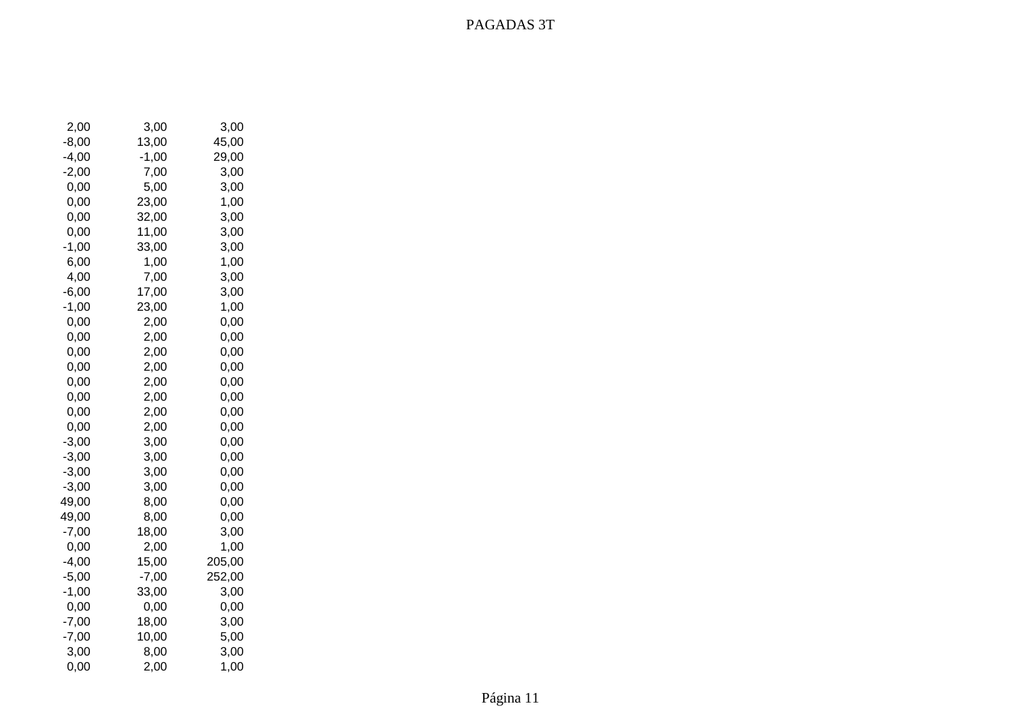| 2,00    | 3,00    | 3,00   |
|---------|---------|--------|
| $-8,00$ | 13,00   | 45,00  |
| $-4,00$ | $-1,00$ | 29,00  |
| $-2,00$ | 7,00    | 3,00   |
| 0,00    | 5,00    | 3,00   |
| 0,00    | 23,00   | 1,00   |
| 0,00    | 32,00   | 3,00   |
| 0,00    | 11,00   | 3,00   |
| $-1,00$ | 33,00   | 3,00   |
| 6,00    | 1,00    | 1,00   |
| 4,00    | 7,00    | 3,00   |
| $-6,00$ | 17,00   | 3,00   |
| $-1,00$ | 23,00   | 1,00   |
| 0,00    | 2,00    | 0,00   |
| 0,00    | 2,00    | 0,00   |
| 0,00    | 2,00    | 0,00   |
| 0,00    | 2,00    | 0,00   |
| 0,00    | 2,00    | 0,00   |
| 0,00    | 2,00    | 0,00   |
| 0,00    | 2,00    | 0,00   |
| 0,00    | 2,00    | 0,00   |
| $-3,00$ | 3,00    | 0,00   |
| $-3,00$ | 3,00    | 0,00   |
| $-3,00$ | 3,00    | 0,00   |
| $-3,00$ | 3,00    | 0,00   |
| 49,00   | 8,00    | 0,00   |
| 49,00   | 8,00    | 0,00   |
| $-7,00$ | 18,00   | 3,00   |
| 0,00    | 2,00    | 1,00   |
| $-4,00$ | 15,00   | 205,00 |
| $-5,00$ | $-7,00$ | 252,00 |
| $-1,00$ | 33,00   | 3,00   |
| 0,00    | 0,00    | 0,00   |
| $-7,00$ | 18,00   | 3,00   |
| $-7,00$ | 10,00   | 5,00   |
| 3,00    | 8,00    | 3,00   |
| 0,00    | 2,00    | 1,00   |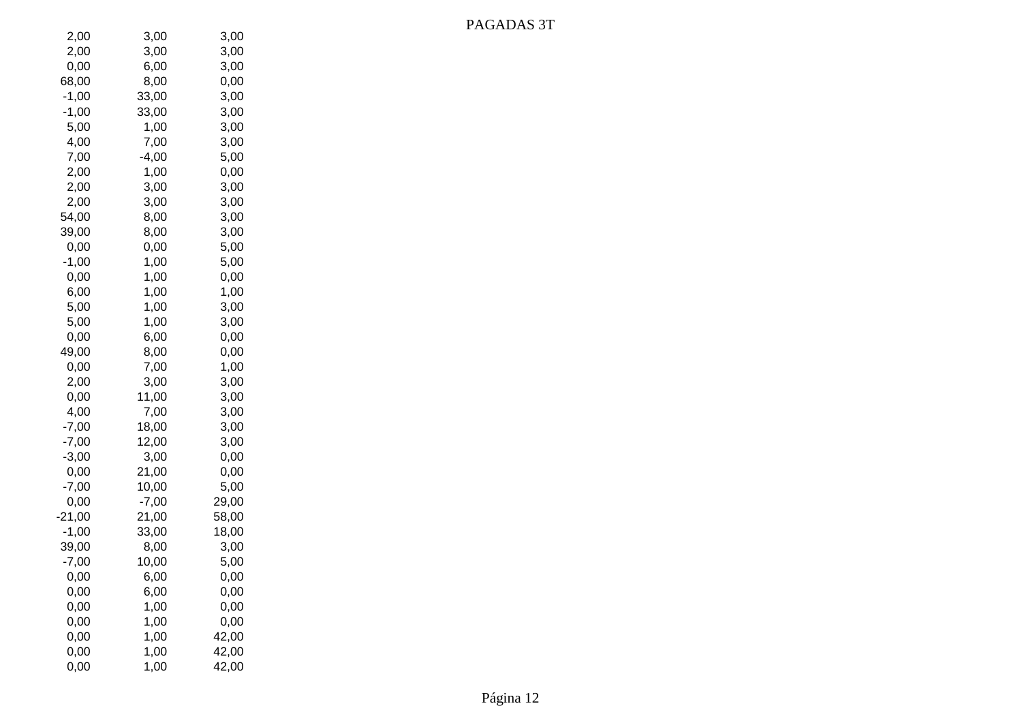| 2,00     | 3,00    | 3,00  |
|----------|---------|-------|
| 2,00     | 3,00    | 3,00  |
| 0,00     | 6,00    | 3,00  |
| 68,00    | 8,00    | 0,00  |
| $-1,00$  | 33,00   | 3,00  |
| $-1,00$  | 33,00   | 3,00  |
| 5,00     | 1,00    | 3,00  |
| 4,00     | 7,00    | 3,00  |
| 7,00     | -4,00   | 5,00  |
| 2,00     | 1,00    | 0,00  |
| 2,00     | 3,00    | 3,00  |
| 2,00     | 3,00    | 3,00  |
| 54,00    | 8,00    | 3,00  |
| 39,00    | 8,00    | 3,00  |
| 0,00     | 0,00    | 5,00  |
| $-1,00$  | 1,00    | 5,00  |
| 0,00     | 1,00    | 0,00  |
| 6,00     | 1,00    | 1,00  |
| 5,00     | 1,00    | 3,00  |
| 5,00     | 1,00    | 3,00  |
| 0,00     | 6,00    | 0,00  |
| 49,00    | 8,00    | 0,00  |
| 0,00     | 7,00    | 1,00  |
| 2,00     | 3,00    | 3,00  |
| 0,00     | 11,00   | 3,00  |
| 4,00     | 7,00    | 3,00  |
| $-7,00$  | 18,00   | 3,00  |
| $-7,00$  | 12,00   | 3,00  |
| $-3,00$  | 3,00    | 0,00  |
| 0,00     | 21,00   | 0,00  |
| $-7,00$  | 10,00   | 5,00  |
| 0,00     | $-7,00$ | 29,00 |
| $-21,00$ | 21,00   | 58,00 |
| $-1,00$  | 33,00   | 18,00 |
| 39,00    | 8,00    | 3,00  |
| $-7,00$  | 10,00   | 5,00  |
| 0,00     | 6,00    | 0,00  |
| 0,00     | 6,00    | 0,00  |
| 0,00     | 1,00    | 0,00  |
| 0,00     | 1,00    | 0,00  |
| 0,00     | 1,00    | 42,00 |
| 0,00     | 1,00    | 42,00 |
| 0,00     | 1,00    | 42,00 |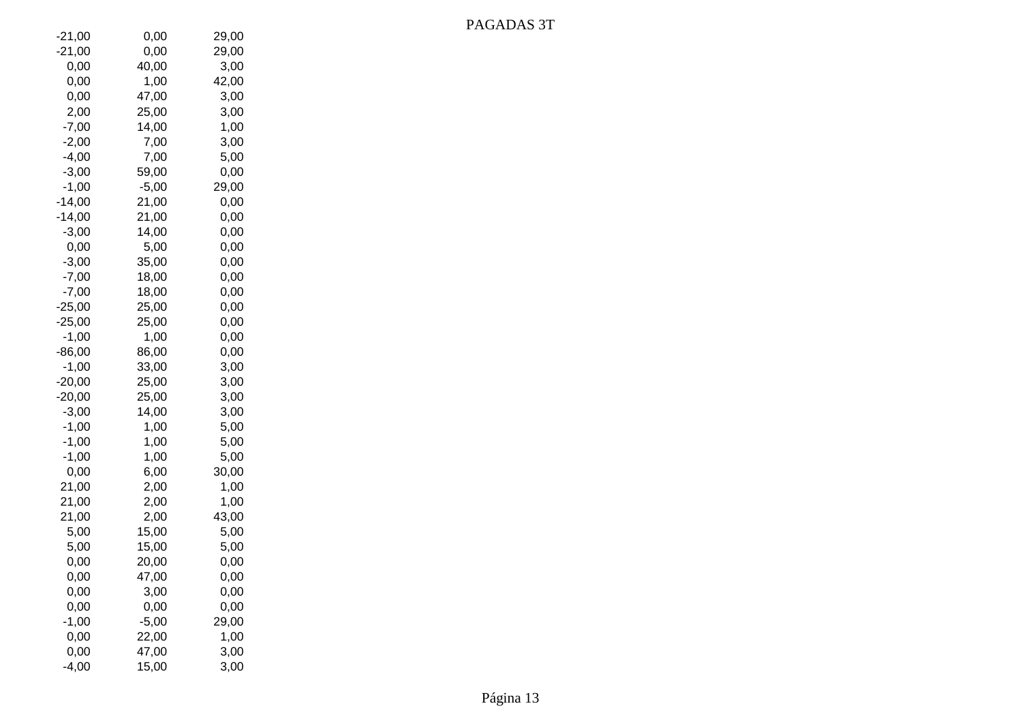| -21,00   | 0,00    | 29,00 |
|----------|---------|-------|
| $-21,00$ | 0,00    | 29,00 |
| 0,00     | 40,00   | 3,00  |
| 0,00     | 1,00    | 42,00 |
| 0,00     | 47,00   | 3,00  |
| 2,00     | 25,00   | 3,00  |
| $-7,00$  | 14,00   | 1,00  |
| $-2,00$  | 7,00    | 3,00  |
| $-4,00$  | 7,00    | 5,00  |
| $-3,00$  | 59,00   | 0,00  |
| $-1,00$  | $-5,00$ | 29,00 |
| $-14,00$ | 21,00   | 0,00  |
| $-14,00$ | 21,00   | 0,00  |
| $-3,00$  | 14,00   | 0,00  |
| 0,00     | 5,00    | 0,00  |
| $-3,00$  | 35,00   | 0,00  |
| $-7,00$  | 18,00   | 0,00  |
| $-7,00$  | 18,00   | 0,00  |
| $-25,00$ | 25,00   | 0,00  |
| -25,00   | 25,00   | 0,00  |
| $-1,00$  | 1,00    | 0,00  |
| $-86,00$ | 86,00   | 0,00  |
| $-1,00$  | 33,00   | 3,00  |
| -20,00   | 25,00   | 3,00  |
| $-20,00$ | 25,00   | 3,00  |
| $-3,00$  | 14,00   | 3,00  |
| $-1,00$  | 1,00    | 5,00  |
| $-1,00$  | 1,00    | 5,00  |
| $-1,00$  | 1,00    | 5,00  |
| 0,00     | 6,00    | 30,00 |
| 21,00    | 2,00    | 1,00  |
| 21,00    | 2,00    | 1,00  |
| 21,00    | 2,00    | 43,00 |
| 5,00     | 15,00   | 5,00  |
| 5,00     | 15,00   | 5,00  |
| 0,00     | 20,00   | 0,00  |
| 0,00     | 47,00   | 0,00  |
| 0,00     | 3,00    | 0,00  |
| 0,00     | 0,00    | 0,00  |
| $-1,00$  | $-5,00$ | 29,00 |
| 0,00     | 22,00   | 1,00  |
| 0,00     | 47,00   | 3,00  |
| $-4,00$  | 15,00   | 3,00  |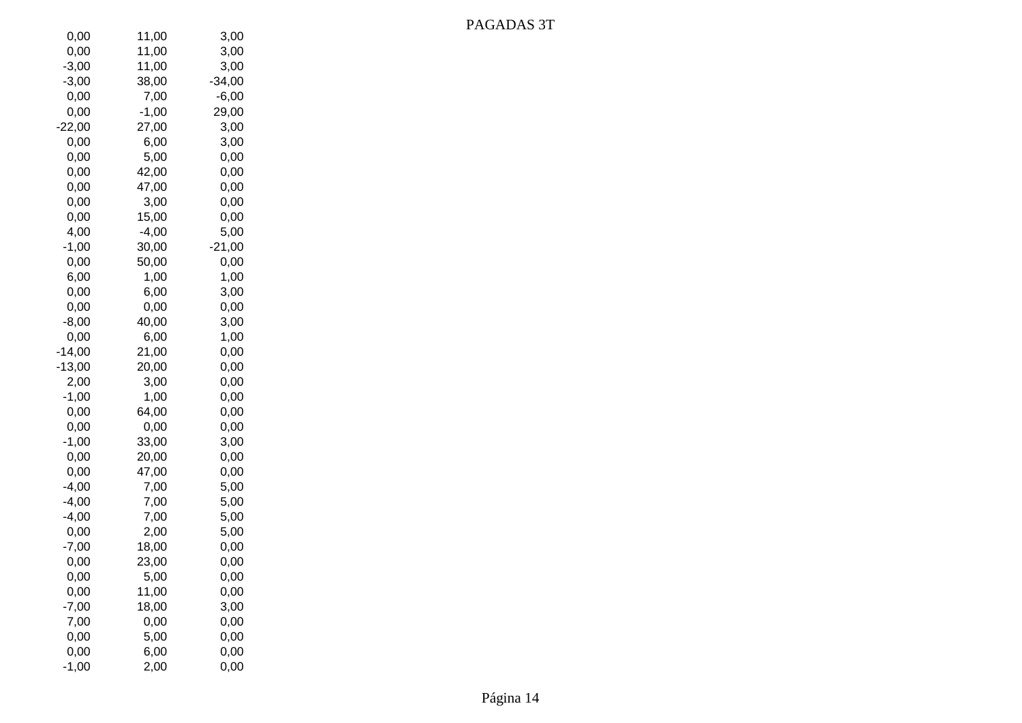| 0,00     | 11,00   | 3,00     |
|----------|---------|----------|
| 0,00     | 11,00   | 3,00     |
| $-3,00$  | 11,00   | 3,00     |
| $-3,00$  | 38,00   | $-34,00$ |
| 0,00     | 7,00    | $-6,00$  |
| 0,00     | $-1,00$ | 29,00    |
| -22,00   | 27,00   | 3,00     |
| 0,00     | 6,00    | 3,00     |
| 0,00     | 5,00    | 0,00     |
| 0,00     | 42,00   | 0,00     |
| 0,00     | 47,00   | 0,00     |
| 0,00     | 3,00    | 0,00     |
| 0,00     | 15,00   | 0,00     |
| 4,00     | $-4,00$ | 5,00     |
| $-1,00$  | 30,00   | $-21,00$ |
| 0,00     | 50,00   | 0,00     |
| 6,00     | 1,00    | 1,00     |
| 0,00     | 6,00    | 3,00     |
| 0,00     | 0,00    | 0,00     |
| $-8,00$  | 40,00   | 3,00     |
| 0,00     | 6,00    | 1,00     |
| $-14,00$ | 21,00   | 0,00     |
| $-13,00$ | 20,00   | 0,00     |
| 2,00     | 3,00    | 0,00     |
| $-1,00$  | 1,00    | 0,00     |
| 0,00     | 64,00   | 0,00     |
| 0,00     | 0,00    | 0,00     |
| $-1,00$  | 33,00   | 3,00     |
| 0,00     | 20,00   | 0,00     |
| 0,00     | 47,00   | 0,00     |
| $-4,00$  | 7,00    | 5,00     |
| $-4,00$  | 7,00    | 5,00     |
| $-4,00$  | 7,00    | 5,00     |
| 0,00     | 2,00    | 5,00     |
| $-7,00$  | 18,00   | 0,00     |
| 0,00     | 23,00   | 0,00     |
| 0,00     | 5,00    | 0,00     |
| 0,00     | 11,00   | 0,00     |
| $-7,00$  | 18,00   | 3,00     |
| 7,00     | 0,00    | 0,00     |
| 0,00     | 5,00    | 0,00     |
| 0,00     | 6,00    | 0,00     |
| $-1,00$  | 2,00    | 0,00     |